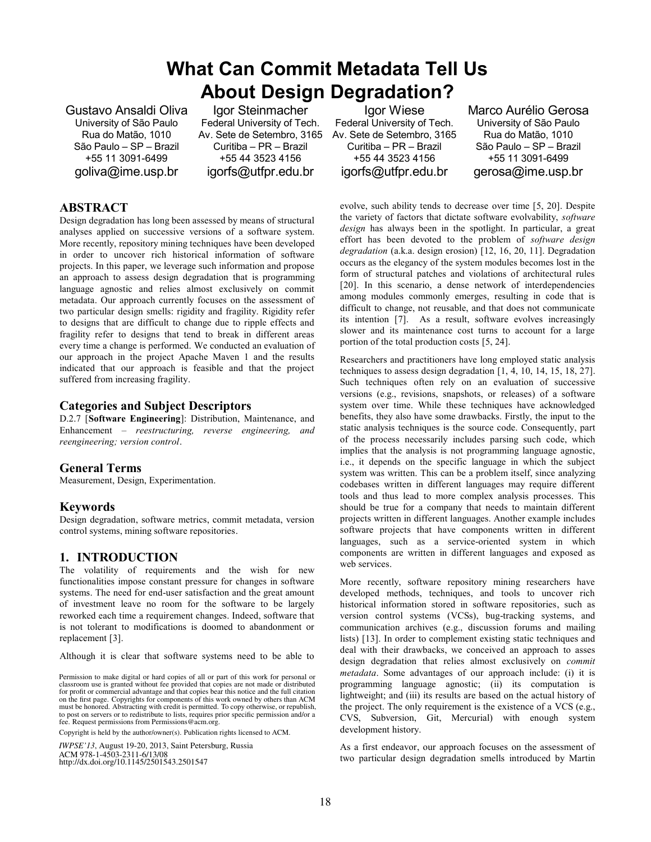# **What Can Commit Metadata Tell Us About Design Degradation?**

Gustavo Ansaldi Oliva University of São Paulo Rua do Matão, 1010 São Paulo – SP – Brazil +55 11 3091-6499 goliva@ime.usp.br

Igor Steinmacher Federal University of Tech. Av. Sete de Setembro, 3165 Curitiba – PR – Brazil +55 44 3523 4156 igorfs@utfpr.edu.br

Igor Wiese Federal University of Tech. Av. Sete de Setembro, 3165 Curitiba – PR – Brazil +55 44 3523 4156 igorfs@utfpr.edu.br

Marco Aurélio Gerosa University of São Paulo Rua do Matão, 1010 São Paulo – SP – Brazil +55 11 3091-6499 gerosa@ime.usp.br

## **ABSTRACT**

Design degradation has long been assessed by means of structural analyses applied on successive versions of a software system. More recently, repository mining techniques have been developed in order to uncover rich historical information of software projects. In this paper, we leverage such information and propose an approach to assess design degradation that is programming language agnostic and relies almost exclusively on commit metadata. Our approach currently focuses on the assessment of two particular design smells: rigidity and fragility. Rigidity refer to designs that are difficult to change due to ripple effects and fragility refer to designs that tend to break in different areas every time a change is performed. We conducted an evaluation of our approach in the project Apache Maven 1 and the results indicated that our approach is feasible and that the project suffered from increasing fragility.

## **Categories and Subject Descriptors**

D.2.7 [**Software Engineering**]: Distribution, Maintenance, and Enhancement – *reestructuring, reverse engineering, and reengineering; version control*.

# **General Terms**

Measurement, Design, Experimentation.

# **Keywords**

Design degradation, software metrics, commit metadata, version control systems, mining software repositories.

# **1. INTRODUCTION**

The volatility of requirements and the wish for new functionalities impose constant pressure for changes in software systems. The need for end-user satisfaction and the great amount of investment leave no room for the software to be largely reworked each time a requirement changes. Indeed, software that is not tolerant to modifications is doomed to abandonment or replacement [3].

Although it is clear that software systems need to be able to

Copyright is held by the author/owner(s). Publication rights licensed to ACM.

*IWPSE'13*, August 19-20, 2013, Saint Petersburg, Russia *IWPSE'13*, August 19-20, 2013, Saint Petersburg, Russia ACM 978-1-4503-2311-6/13/08<br>http://dx.doi.org/10.1145/2501543.2501547

evolve, such ability tends to decrease over time [5, 20]. Despite the variety of factors that dictate software evolvability, *software design* has always been in the spotlight. In particular, a great effort has been devoted to the problem of *software design degradation* (a.k.a. design erosion) [12, 16, 20, 11]. Degradation occurs as the elegancy of the system modules becomes lost in the form of structural patches and violations of architectural rules [20]. In this scenario, a dense network of interdependencies among modules commonly emerges, resulting in code that is difficult to change, not reusable, and that does not communicate its intention [7]. As a result, software evolves increasingly slower and its maintenance cost turns to account for a large portion of the total production costs [5, 24].

Researchers and practitioners have long employed static analysis techniques to assess design degradation [1, 4, 10, 14, 15, 18, 27]. Such techniques often rely on an evaluation of successive versions (e.g., revisions, snapshots, or releases) of a software system over time. While these techniques have acknowledged benefits, they also have some drawbacks. Firstly, the input to the static analysis techniques is the source code. Consequently, part of the process necessarily includes parsing such code, which implies that the analysis is not programming language agnostic, i.e., it depends on the specific language in which the subject system was written. This can be a problem itself, since analyzing codebases written in different languages may require different tools and thus lead to more complex analysis processes. This should be true for a company that needs to maintain different projects written in different languages. Another example includes software projects that have components written in different languages, such as a service-oriented system in which components are written in different languages and exposed as web services.

More recently, software repository mining researchers have developed methods, techniques, and tools to uncover rich historical information stored in software repositories, such as version control systems (VCSs), bug-tracking systems, and communication archives (e.g., discussion forums and mailing lists) [13]. In order to complement existing static techniques and deal with their drawbacks, we conceived an approach to asses design degradation that relies almost exclusively on *commit metadata*. Some advantages of our approach include: (i) it is programming language agnostic; (ii) its computation is lightweight; and (iii) its results are based on the actual history of the project. The only requirement is the existence of a VCS (e.g., CVS, Subversion, Git, Mercurial) with enough system development history.

As a first endeavor, our approach focuses on the assessment of two particular design degradation smells introduced by Martin

permission that is granted while the provided that copies are not make or distributed or profit or commercial advantage and that copies bear this notice and the full citation for profit or commercial advantage and that copies bear this notice and the full citation<br>on the first page. Copyrights for components of this work owned by others than ACM must be nonoted. Abstracting with credit is permitted. To copy otherwise, or republish<br>to post on servers or to redistribute to lists, requires prior specific permission and/or a fee. Request permissions from Permissions@acm.org. Permission to make digital or hard copies of all or part of this work for personal or classroom use is granted without fee provided that copies are not made or distributed must be honored. Abstracting with credit is permitted. To copy otherwise, or republish,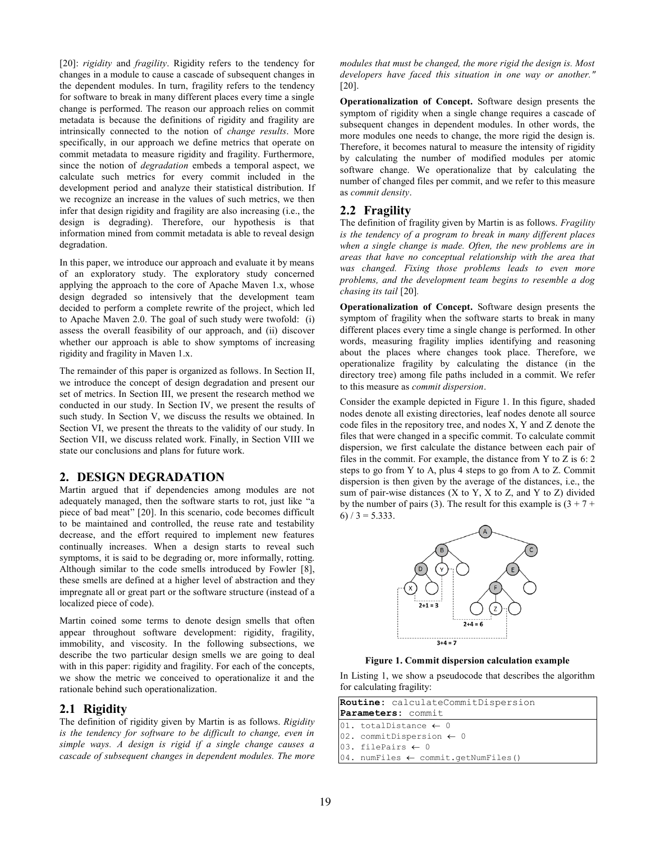[20]: *rigidity* and *fragility*. Rigidity refers to the tendency for changes in a module to cause a cascade of subsequent changes in the dependent modules. In turn, fragility refers to the tendency for software to break in many different places every time a single change is performed. The reason our approach relies on commit metadata is because the definitions of rigidity and fragility are intrinsically connected to the notion of *change results*. More specifically, in our approach we define metrics that operate on commit metadata to measure rigidity and fragility. Furthermore, since the notion of *degradation* embeds a temporal aspect, we calculate such metrics for every commit included in the development period and analyze their statistical distribution. If we recognize an increase in the values of such metrics, we then infer that design rigidity and fragility are also increasing (i.e., the design is degrading). Therefore, our hypothesis is that information mined from commit metadata is able to reveal design degradation.

In this paper, we introduce our approach and evaluate it by means of an exploratory study. The exploratory study concerned applying the approach to the core of Apache Maven 1.x, whose design degraded so intensively that the development team decided to perform a complete rewrite of the project, which led to Apache Maven 2.0. The goal of such study were twofold: (i) assess the overall feasibility of our approach, and (ii) discover whether our approach is able to show symptoms of increasing rigidity and fragility in Maven 1.x.

The remainder of this paper is organized as follows. In Section II, we introduce the concept of design degradation and present our set of metrics. In Section III, we present the research method we conducted in our study. In Section IV, we present the results of such study. In Section V, we discuss the results we obtained. In Section VI, we present the threats to the validity of our study. In Section VII, we discuss related work. Finally, in Section VIII we state our conclusions and plans for future work.

## **2. DESIGN DEGRADATION**

Martin argued that if dependencies among modules are not adequately managed, then the software starts to rot, just like "a piece of bad meat" [20]. In this scenario, code becomes difficult to be maintained and controlled, the reuse rate and testability decrease, and the effort required to implement new features continually increases. When a design starts to reveal such symptoms, it is said to be degrading or, more informally, rotting. Although similar to the code smells introduced by Fowler [8], these smells are defined at a higher level of abstraction and they impregnate all or great part or the software structure (instead of a localized piece of code).

Martin coined some terms to denote design smells that often appear throughout software development: rigidity, fragility, immobility, and viscosity. In the following subsections, we describe the two particular design smells we are going to deal with in this paper: rigidity and fragility. For each of the concepts, we show the metric we conceived to operationalize it and the rationale behind such operationalization.

## **2.1 Rigidity**

The definition of rigidity given by Martin is as follows. *Rigidity is the tendency for software to be difficult to change, even in simple ways. A design is rigid if a single change causes a cascade of subsequent changes in dependent modules. The more* 

*modules that must be changed, the more rigid the design is. Most developers have faced this situation in one way or another."* [20].

**Operationalization of Concept.** Software design presents the symptom of rigidity when a single change requires a cascade of subsequent changes in dependent modules. In other words, the more modules one needs to change, the more rigid the design is. Therefore, it becomes natural to measure the intensity of rigidity by calculating the number of modified modules per atomic software change. We operationalize that by calculating the number of changed files per commit, and we refer to this measure as *commit density*.

## **2.2 Fragility**

The definition of fragility given by Martin is as follows. *Fragility is the tendency of a program to break in many different places when a single change is made. Often, the new problems are in areas that have no conceptual relationship with the area that was changed. Fixing those problems leads to even more problems, and the development team begins to resemble a dog chasing its tail* [20]*.*

**Operationalization of Concept.** Software design presents the symptom of fragility when the software starts to break in many different places every time a single change is performed. In other words, measuring fragility implies identifying and reasoning about the places where changes took place. Therefore, we operationalize fragility by calculating the distance (in the directory tree) among file paths included in a commit. We refer to this measure as *commit dispersion*.

Consider the example depicted in Figure 1. In this figure, shaded nodes denote all existing directories, leaf nodes denote all source code files in the repository tree, and nodes X, Y and Z denote the files that were changed in a specific commit. To calculate commit dispersion, we first calculate the distance between each pair of files in the commit. For example, the distance from Y to Z is 6: 2 steps to go from Y to A, plus 4 steps to go from A to Z. Commit dispersion is then given by the average of the distances, i.e., the sum of pair-wise distances  $(X$  to  $Y$ ,  $X$  to  $Z$ , and  $Y$  to  $Z$ ) divided by the number of pairs (3). The result for this example is  $(3 + 7 +$ 6)  $/ 3 = 5.333$ .



**Figure 1. Commit dispersion calculation example**

In Listing 1, we show a pseudocode that describes the algorithm for calculating fragility:

|                    | Routine: calculateCommitDispersion                |  |  |  |  |  |
|--------------------|---------------------------------------------------|--|--|--|--|--|
| Parameters: commit |                                                   |  |  |  |  |  |
|                    | $ 01.$ totalDistance $\leftarrow 0$               |  |  |  |  |  |
|                    | $ 02.$ commitDispersion $\leftarrow 0$            |  |  |  |  |  |
|                    | $ 03.$ filePairs $\leftarrow 0$                   |  |  |  |  |  |
|                    | $ 04.$ numFiles $\leftarrow$ commit.getNumFiles() |  |  |  |  |  |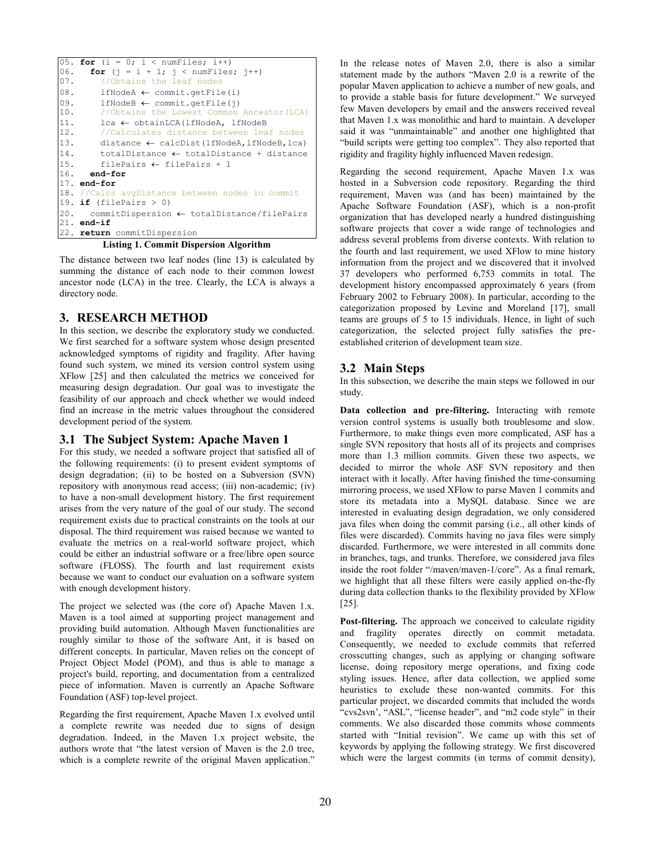```
05. for (i = 0; i < numFiles; i^{++})
06. for (j = i + 1; j < numFiles; j++)07. //Obtains the leaf nodes 
08. lfNodeA \leftarrow commit.getFile(i)
09. IfNodeB \leftarrow commit.getFile(j)
10. //Obtains the Lowest Common Ancestor(LCA)
11. lca ← obtainLCA(lfNodeA, lfNodeB
12. //Calculates distance between leaf nodes
13. distance \leftarrow calcDist(lfNodeA, lfNodeB, lca)
14. totalDistance \leftarrow totalDistance + distance<br>15. filePairs \leftarrow filePairs + 1
         filePairs \leftarrow filePairs + 1
16. end-for
17. end-for
18. //Calcs avgDistance between nodes in commit
19. if (filePairs > 0)
20. commitDispersion \leftarrow totalDistance/filePairs
21. end-if
22. return commitDispersion
```
**Listing 1. Commit Dispersion Algorithm**

The distance between two leaf nodes (line 13) is calculated by summing the distance of each node to their common lowest ancestor node (LCA) in the tree. Clearly, the LCA is always a directory node.

## **3. RESEARCH METHOD**

In this section, we describe the exploratory study we conducted. We first searched for a software system whose design presented acknowledged symptoms of rigidity and fragility. After having found such system, we mined its version control system using XFlow [25] and then calculated the metrics we conceived for measuring design degradation. Our goal was to investigate the feasibility of our approach and check whether we would indeed find an increase in the metric values throughout the considered development period of the system.

## **3.1 The Subject System: Apache Maven 1**

For this study, we needed a software project that satisfied all of the following requirements: (i) to present evident symptoms of design degradation; (ii) to be hosted on a Subversion (SVN) repository with anonymous read access; (iii) non-academic; (iv) to have a non-small development history. The first requirement arises from the very nature of the goal of our study. The second requirement exists due to practical constraints on the tools at our disposal. The third requirement was raised because we wanted to evaluate the metrics on a real-world software project, which could be either an industrial software or a free/libre open source software (FLOSS). The fourth and last requirement exists because we want to conduct our evaluation on a software system with enough development history.

The project we selected was (the core of) Apache Maven 1.x. Maven is a tool aimed at supporting project management and providing build automation. Although Maven functionalities are roughly similar to those of the software Ant, it is based on different concepts. In particular, Maven relies on the concept of Project Object Model (POM), and thus is able to manage a project's build, reporting, and documentation from a centralized piece of information. Maven is currently an Apache Software Foundation (ASF) top-level project.

Regarding the first requirement, Apache Maven 1.x evolved until a complete rewrite was needed due to signs of design degradation. Indeed, in the Maven 1.x project website, the authors wrote that "the latest version of Maven is the 2.0 tree, which is a complete rewrite of the original Maven application."

In the release notes of Maven 2.0, there is also a similar statement made by the authors "Maven 2.0 is a rewrite of the popular Maven application to achieve a number of new goals, and to provide a stable basis for future development." We surveyed few Maven developers by email and the answers received reveal that Maven 1.x was monolithic and hard to maintain. A developer said it was "unmaintainable" and another one highlighted that "build scripts were getting too complex". They also reported that rigidity and fragility highly influenced Maven redesign.

Regarding the second requirement, Apache Maven 1.x was hosted in a Subversion code repository. Regarding the third requirement, Maven was (and has been) maintained by the Apache Software Foundation (ASF), which is a non-profit organization that has developed nearly a hundred distinguishing software projects that cover a wide range of technologies and address several problems from diverse contexts. With relation to the fourth and last requirement, we used XFlow to mine history information from the project and we discovered that it involved 37 developers who performed 6,753 commits in total. The development history encompassed approximately 6 years (from February 2002 to February 2008). In particular, according to the categorization proposed by Levine and Moreland [17], small teams are groups of 5 to 15 individuals. Hence, in light of such categorization, the selected project fully satisfies the preestablished criterion of development team size.

# **3.2 Main Steps**

In this subsection, we describe the main steps we followed in our study.

**Data collection and pre-filtering.** Interacting with remote version control systems is usually both troublesome and slow. Furthermore, to make things even more complicated, ASF has a single SVN repository that hosts all of its projects and comprises more than 1.3 million commits. Given these two aspects, we decided to mirror the whole ASF SVN repository and then interact with it locally. After having finished the time-consuming mirroring process, we used XFlow to parse Maven 1 commits and store its metadata into a MySQL database. Since we are interested in evaluating design degradation, we only considered java files when doing the commit parsing (i.e., all other kinds of files were discarded). Commits having no java files were simply discarded. Furthermore, we were interested in all commits done in branches, tags, and trunks. Therefore, we considered java files inside the root folder "/maven/maven-1/core". As a final remark, we highlight that all these filters were easily applied on-the-fly during data collection thanks to the flexibility provided by XFlow [25].

**Post-filtering.** The approach we conceived to calculate rigidity and fragility operates directly on commit metadata. Consequently, we needed to exclude commits that referred crosscutting changes, such as applying or changing software license, doing repository merge operations, and fixing code styling issues. Hence, after data collection, we applied some heuristics to exclude these non-wanted commits. For this particular project, we discarded commits that included the words "cvs2svn', "ASL", "license header", and "m2 code style" in their comments. We also discarded those commits whose comments started with "Initial revision". We came up with this set of keywords by applying the following strategy. We first discovered which were the largest commits (in terms of commit density),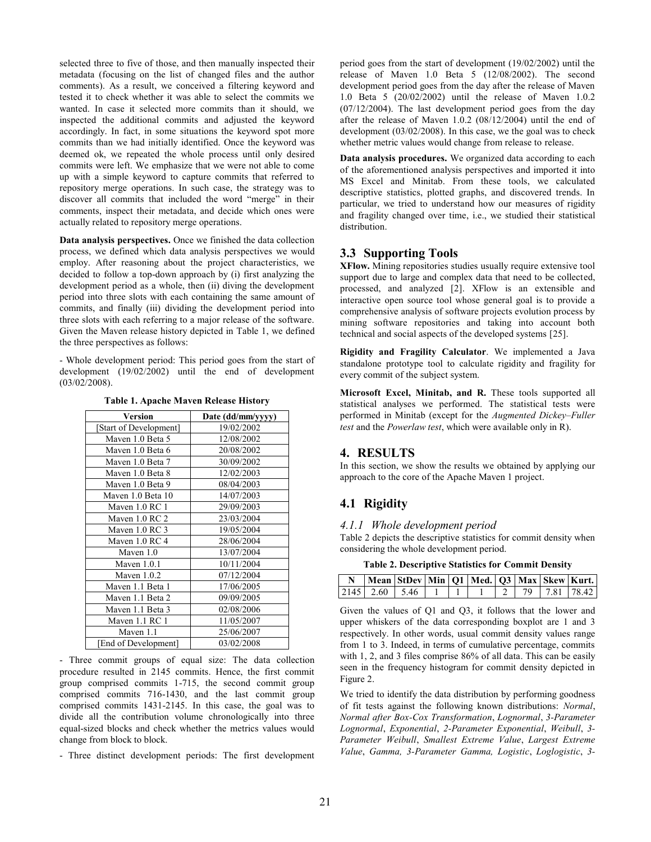selected three to five of those, and then manually inspected their metadata (focusing on the list of changed files and the author comments). As a result, we conceived a filtering keyword and tested it to check whether it was able to select the commits we wanted. In case it selected more commits than it should, we inspected the additional commits and adjusted the keyword accordingly. In fact, in some situations the keyword spot more commits than we had initially identified. Once the keyword was deemed ok, we repeated the whole process until only desired commits were left. We emphasize that we were not able to come up with a simple keyword to capture commits that referred to repository merge operations. In such case, the strategy was to discover all commits that included the word "merge" in their comments, inspect their metadata, and decide which ones were actually related to repository merge operations.

**Data analysis perspectives.** Once we finished the data collection process, we defined which data analysis perspectives we would employ. After reasoning about the project characteristics, we decided to follow a top-down approach by (i) first analyzing the development period as a whole, then (ii) diving the development period into three slots with each containing the same amount of commits, and finally (iii) dividing the development period into three slots with each referring to a major release of the software. Given the Maven release history depicted in Table 1, we defined the three perspectives as follows:

- Whole development period: This period goes from the start of development (19/02/2002) until the end of development (03/02/2008).

| Version                | Date (dd/mm/yyyy) |
|------------------------|-------------------|
| [Start of Development] | 19/02/2002        |
| Mayen 1.0 Beta 5       | 12/08/2002        |
| Mayen 1.0 Beta 6       | 20/08/2002        |
| Maven 1.0 Beta 7       | 30/09/2002        |
| Mayen 1.0 Beta 8       | 12/02/2003        |
| Mayen 1.0 Beta 9       | 08/04/2003        |
| Maven 1.0 Beta 10      | 14/07/2003        |
| Maven 1.0 RC 1         | 29/09/2003        |
| Mayen 1.0 RC 2         | 23/03/2004        |
| Maven 1.0 RC 3         | 19/05/2004        |
| Mayen 1.0 RC 4         | 28/06/2004        |
| Maven 1.0              | 13/07/2004        |
| Maven $1.0.1$          | 10/11/2004        |
| Mayen $1.0.2$          | 07/12/2004        |
| Maven 1.1 Beta 1       | 17/06/2005        |
| Mayen 1.1 Beta 2       | 09/09/2005        |
| Maven 1.1 Beta 3       | 02/08/2006        |
| Maven 1.1 RC 1         | 11/05/2007        |
| Maven 1.1              | 25/06/2007        |
| [End of Development]   | 03/02/2008        |

**Table 1. Apache Maven Release History**

- Three commit groups of equal size: The data collection procedure resulted in 2145 commits. Hence, the first commit group comprised commits 1-715, the second commit group comprised commits 716-1430, and the last commit group comprised commits 1431-2145. In this case, the goal was to divide all the contribution volume chronologically into three equal-sized blocks and check whether the metrics values would change from block to block.

- Three distinct development periods: The first development

period goes from the start of development (19/02/2002) until the release of Maven 1.0 Beta 5 (12/08/2002). The second development period goes from the day after the release of Maven 1.0 Beta 5 (20/02/2002) until the release of Maven 1.0.2 (07/12/2004). The last development period goes from the day after the release of Maven 1.0.2 (08/12/2004) until the end of development (03/02/2008). In this case, we the goal was to check whether metric values would change from release to release.

**Data analysis procedures.** We organized data according to each of the aforementioned analysis perspectives and imported it into MS Excel and Minitab. From these tools, we calculated descriptive statistics, plotted graphs, and discovered trends. In particular, we tried to understand how our measures of rigidity and fragility changed over time, i.e., we studied their statistical distribution.

## **3.3 Supporting Tools**

**XFlow.** Mining repositories studies usually require extensive tool support due to large and complex data that need to be collected, processed, and analyzed [2]. XFlow is an extensible and interactive open source tool whose general goal is to provide a comprehensive analysis of software projects evolution process by mining software repositories and taking into account both technical and social aspects of the developed systems [25].

**Rigidity and Fragility Calculator**. We implemented a Java standalone prototype tool to calculate rigidity and fragility for every commit of the subject system.

**Microsoft Excel, Minitab, and R.** These tools supported all statistical analyses we performed. The statistical tests were performed in Minitab (except for the *Augmented Dickey–Fuller test* and the *Powerlaw test*, which were available only in R).

## **4. RESULTS**

In this section, we show the results we obtained by applying our approach to the core of the Apache Maven 1 project.

# **4.1 Rigidity**

#### *4.1.1 Whole development period*

Table 2 depicts the descriptive statistics for commit density when considering the whole development period.

**Table 2. Descriptive Statistics for Commit Density**

|  | Mean   StDev   Min   Q1   Med.   Q3   Max   Skew   Kurt. |  |  |  |                          |
|--|----------------------------------------------------------|--|--|--|--------------------------|
|  | $2145$   2.60   5.46                                     |  |  |  | $12$   79   7.81   78.42 |

Given the values of Q1 and Q3, it follows that the lower and upper whiskers of the data corresponding boxplot are 1 and 3 respectively. In other words, usual commit density values range from 1 to 3. Indeed, in terms of cumulative percentage, commits with 1, 2, and 3 files comprise 86% of all data. This can be easily seen in the frequency histogram for commit density depicted in Figure 2.

We tried to identify the data distribution by performing goodness of fit tests against the following known distributions: *Normal*, *Normal after Box-Cox Transformation*, *Lognormal*, *3-Parameter Lognormal*, *Exponential*, *2-Parameter Exponential*, *Weibull*, *3- Parameter Weibull*, *Smallest Extreme Value*, *Largest Extreme Value*, *Gamma, 3-Parameter Gamma, Logistic*, *Loglogistic*, *3-*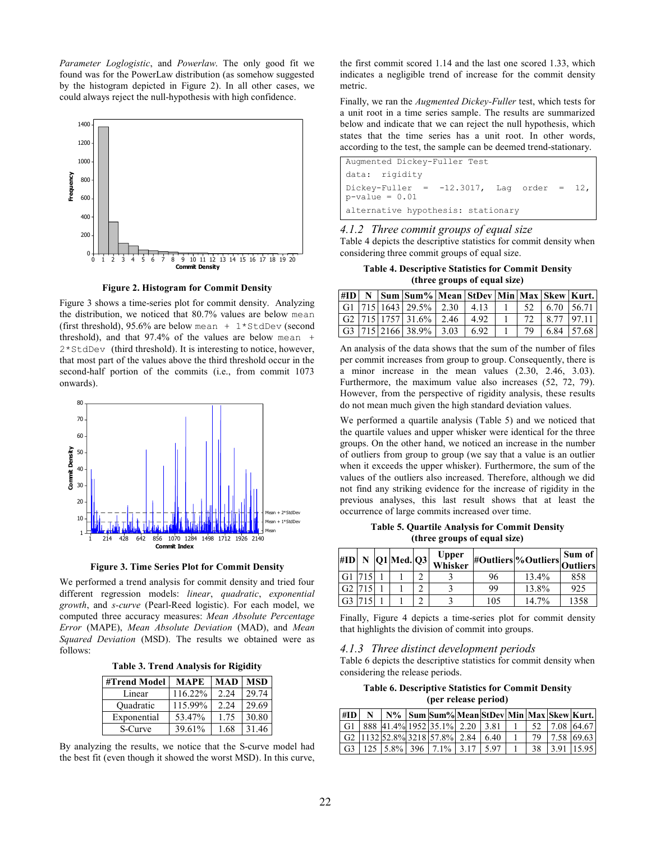*Parameter Loglogistic*, and *Powerlaw*. The only good fit we found was for the PowerLaw distribution (as somehow suggested by the histogram depicted in Figure 2). In all other cases, we could always reject the null-hypothesis with high confidence.



**Figure 2. Histogram for Commit Density**

Figure 3 shows a time-series plot for commit density. Analyzing the distribution, we noticed that 80.7% values are below mean (first threshold), 95.6% are below mean  $+ 1*$ StdDev (second threshold), and that 97.4% of the values are below mean + 2\*StdDev (third threshold). It is interesting to notice, however, that most part of the values above the third threshold occur in the second-half portion of the commits (i.e., from commit 1073 onwards).



**Figure 3. Time Series Plot for Commit Density**

We performed a trend analysis for commit density and tried four different regression models: *linear*, *quadratic*, *exponential growth*, and *s-curve* (Pearl-Reed logistic). For each model, we computed three accuracy measures: *Mean Absolute Percentage Error* (MAPE), *Mean Absolute Deviation* (MAD), and *Mean Squared Deviation* (MSD). The results we obtained were as follows:

**Table 3. Trend Analysis for Rigidity**

| #Trend Model | MAPE    | <b>MAD</b> | <b>MSD</b> |
|--------------|---------|------------|------------|
| Linear       | 116.22% | 2.24       | 29 74      |
| Ouadratic    | 115.99% | 2.24       | 29.69      |
| Exponential  | 53.47%  | 1.75       | 30.80      |
| S-Curve      | 39.61%  | 1.68       | 31.46      |

By analyzing the results, we notice that the S-curve model had the best fit (even though it showed the worst MSD). In this curve, the first commit scored 1.14 and the last one scored 1.33, which indicates a negligible trend of increase for the commit density metric.

Finally, we ran the *Augmented Dickey-Fuller* test, which tests for a unit root in a time series sample. The results are summarized below and indicate that we can reject the null hypothesis, which states that the time series has a unit root. In other words, according to the test, the sample can be deemed trend-stationary.

| Augmented Dickey-Fuller Test                                        |  |
|---------------------------------------------------------------------|--|
| data: rigidity                                                      |  |
| Dickey-Fuller = $-12.3017$ , Laq order = $12$ ,<br>$p-value = 0.01$ |  |
| alternative hypothesis: stationary                                  |  |

*4.1.2 Three commit groups of equal size*

Table 4 depicts the descriptive statistics for commit density when considering three commit groups of equal size.

**Table 4. Descriptive Statistics for Commit Density (three groups of equal size)**

|  | #ID   N   Sum   Sum%   Mean   StDev   Min   Max   Skew   Kurt. |  |  |                             |
|--|----------------------------------------------------------------|--|--|-----------------------------|
|  | G1   715   1643   29.5%   2.30   4.13                          |  |  | $\frac{1}{2}$ 52 6.70 56.71 |
|  | G2 715 1757 31.6% 2.46 4.92                                    |  |  | 72   8.77   97.11           |
|  | G3 715 2166 38.9% 3.03 6.92                                    |  |  | 79 6.84 57.68               |

An analysis of the data shows that the sum of the number of files per commit increases from group to group. Consequently, there is a minor increase in the mean values (2.30, 2.46, 3.03). Furthermore, the maximum value also increases (52, 72, 79). However, from the perspective of rigidity analysis, these results do not mean much given the high standard deviation values.

We performed a quartile analysis (Table 5) and we noticed that the quartile values and upper whisker were identical for the three groups. On the other hand, we noticed an increase in the number of outliers from group to group (we say that a value is an outlier when it exceeds the upper whisker). Furthermore, the sum of the values of the outliers also increased. Therefore, although we did not find any striking evidence for the increase of rigidity in the previous analyses, this last result shows that at least the occurrence of large commits increased over time.

**Table 5. Quartile Analysis for Commit Density (three groups of equal size)**

|    |  | #ID N Q1 Med. $Q3$ | Upper<br>Whisker |     | #Outliers % Outliers   Outliers | Sum of |
|----|--|--------------------|------------------|-----|---------------------------------|--------|
| G1 |  |                    |                  | 96  | 13.4%                           | 858    |
| G2 |  |                    |                  | 99  | 13.8%                           | 925    |
|    |  |                    |                  | 105 | 14.7%                           | 1358   |

Finally, Figure 4 depicts a time-series plot for commit density that highlights the division of commit into groups.

#### *4.1.3 Three distinct development periods*

Table 6 depicts the descriptive statistics for commit density when considering the release periods.

**Table 6. Descriptive Statistics for Commit Density (per release period)**

|            |  | #ID  N   N%   Sum Sum%  Mean StDev   Min   Max   Skew   Kurt.                          |      |    |      |               |
|------------|--|----------------------------------------------------------------------------------------|------|----|------|---------------|
| $-$ G1 $+$ |  | 888 41.4% 1952 35.1% 2.20 3.81                                                         |      |    |      | 52 7.08 64.67 |
|            |  | G2   1132 52.8% 3218 57.8%   2.84   6.40                                               |      | 79 |      | 7.58 69.63    |
|            |  | $\mid$ G <sub>3</sub> $\mid$ 125 $\mid$ 5.8% $\mid$ 396 $\mid$ 7.1% $\mid$ 3.17 $\mid$ | 5.97 | 38 | 3.91 | 15.95         |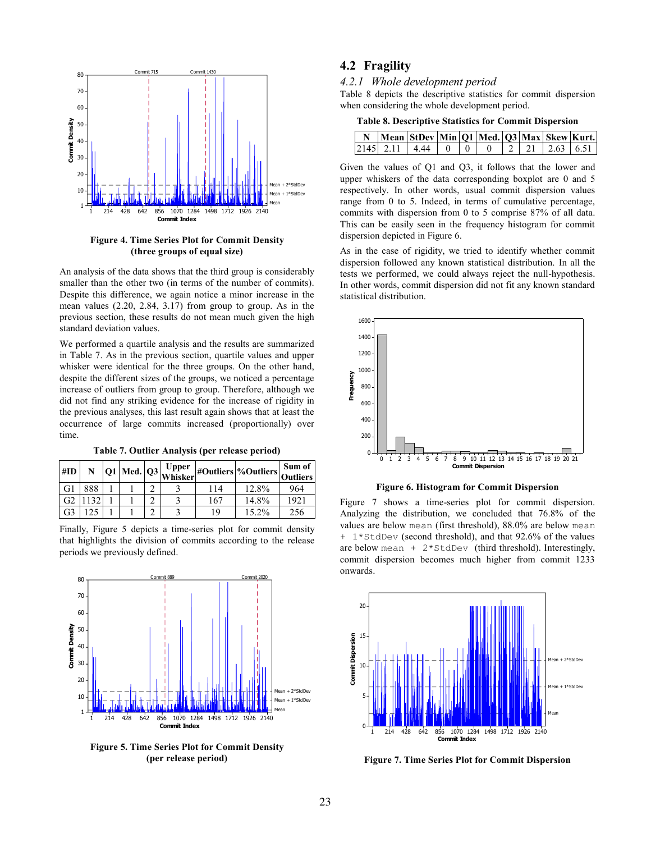

**Figure 4. Time Series Plot for Commit Density (three groups of equal size)**

An analysis of the data shows that the third group is considerably smaller than the other two (in terms of the number of commits). Despite this difference, we again notice a minor increase in the mean values (2.20, 2.84, 3.17) from group to group. As in the previous section, these results do not mean much given the high standard deviation values.

We performed a quartile analysis and the results are summarized in Table 7. As in the previous section, quartile values and upper whisker were identical for the three groups. On the other hand, despite the different sizes of the groups, we noticed a percentage increase of outliers from group to group. Therefore, although we did not find any striking evidence for the increase of rigidity in the previous analyses, this last result again shows that at least the occurrence of large commits increased (proportionally) over time.

**Table 7. Outlier Analysis (per release period)** 

| $\#ID$ |     |  | $\sqrt{\text{Q1}}$ Med. $\sqrt{\text{Q3}}$ Whisker $\neq$ |     | $\frac{1}{2}$ #Outliers %Outliers $\frac{1}{2}$ Outliers | Sum of |
|--------|-----|--|-----------------------------------------------------------|-----|----------------------------------------------------------|--------|
| G1     | 888 |  |                                                           | 114 | 12.8%                                                    | 964    |
| G2     |     |  |                                                           | 167 | 14.8%                                                    | 1921   |
|        |     |  |                                                           | 19  | 15.2%                                                    | 256    |

Finally, Figure 5 depicts a time-series plot for commit density that highlights the division of commits according to the release periods we previously defined.



**Figure 5. Time Series Plot for Commit Density (per release period)**

## **4.2 Fragility**

#### *4.2.1 Whole development period*

Table 8 depicts the descriptive statistics for commit dispersion when considering the whole development period.

| <b>Table 8. Descriptive Statistics for Commit Dispersion</b> |  |  |  |  |
|--------------------------------------------------------------|--|--|--|--|
|--------------------------------------------------------------|--|--|--|--|

|  | N   Mean   StDev   Min   Q1   Med.   Q3   Max   Skew   Kurt. |  |  |  |  |
|--|--------------------------------------------------------------|--|--|--|--|
|  | $2145$ 2.11 4.44 0 0 0 2 21 2.63 6.51                        |  |  |  |  |

Given the values of Q1 and Q3, it follows that the lower and upper whiskers of the data corresponding boxplot are 0 and 5 respectively. In other words, usual commit dispersion values range from 0 to 5. Indeed, in terms of cumulative percentage, commits with dispersion from 0 to 5 comprise 87% of all data. This can be easily seen in the frequency histogram for commit dispersion depicted in Figure 6.

As in the case of rigidity, we tried to identify whether commit dispersion followed any known statistical distribution. In all the tests we performed, we could always reject the null-hypothesis. In other words, commit dispersion did not fit any known standard statistical distribution.



**Figure 6. Histogram for Commit Dispersion**

Figure 7 shows a time-series plot for commit dispersion. Analyzing the distribution, we concluded that 76.8% of the values are below mean (first threshold), 88.0% are below mean + 1\*StdDev (second threshold), and that 92.6% of the values are below mean  $+ 2*$  StdDev (third threshold). Interestingly, commit dispersion becomes much higher from commit 1233 onwards.



**Figure 7. Time Series Plot for Commit Dispersion**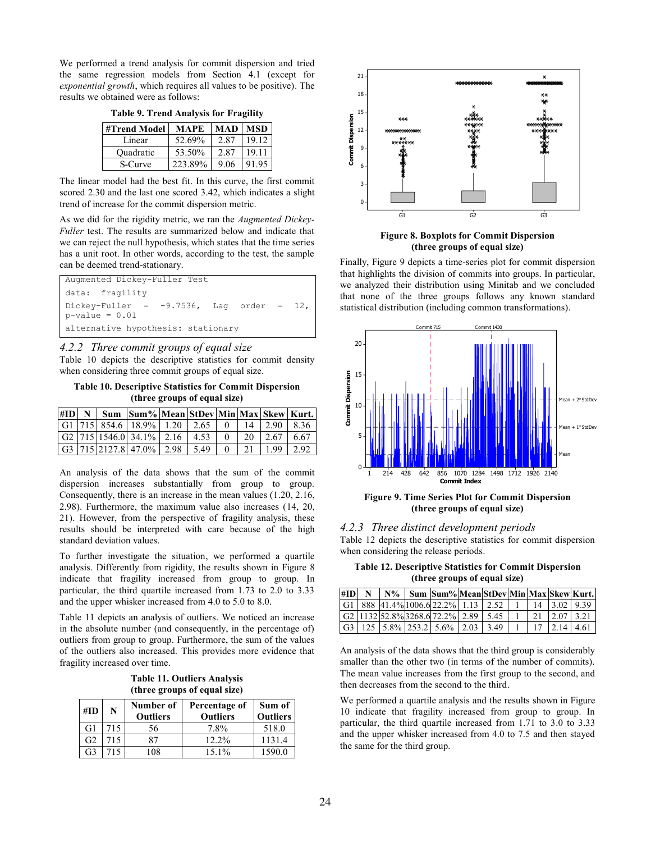We performed a trend analysis for commit dispersion and tried the same regression models from Section 4.1 (except for *exponential growth*, which requires all values to be positive). The results we obtained were as follows:

|  | <b>Table 9. Trend Analysis for Fragility</b> |  |
|--|----------------------------------------------|--|
|  |                                              |  |

| #Trend Model | <b>MAPE</b> | <b>MAD MSD</b> |       |
|--------------|-------------|----------------|-------|
| Linear       | 52.69%      | 2.87           | 19 12 |
| Ouadratic    | 53.50%      | 2.87           | 19 11 |
| S-Curve      | 223.89%     | 9.06           | 9195  |

The linear model had the best fit. In this curve, the first commit scored 2.30 and the last one scored 3.42, which indicates a slight trend of increase for the commit dispersion metric.

As we did for the rigidity metric, we ran the *Augmented Dickey-Fuller* test. The results are summarized below and indicate that we can reject the null hypothesis, which states that the time series has a unit root. In other words, according to the test, the sample can be deemed trend-stationary.

| Augmented Dickey-Fuller Test                                    |  |  |  |  |  |  |  |
|-----------------------------------------------------------------|--|--|--|--|--|--|--|
| data: fragility                                                 |  |  |  |  |  |  |  |
| Dickey-Fuller = $-9.7536$ , Lag order = 12,<br>$p-value = 0.01$ |  |  |  |  |  |  |  |
| alternative hypothesis: stationary                              |  |  |  |  |  |  |  |

#### *4.2.2 Three commit groups of equal size*

Table 10 depicts the descriptive statistics for commit density when considering three commit groups of equal size.

**Table 10. Descriptive Statistics for Commit Dispersion (three groups of equal size)**

|  | #ID   N   Sum   Sum%   Mean   StDev   Min   Max   Skew   Kurt.        |  |  |  |
|--|-----------------------------------------------------------------------|--|--|--|
|  | G1   715   854.6   18.9%   1.20   2.65   0   14   2.90   8.36         |  |  |  |
|  | $\mid$ G2   715   1546.0   34.1%   2.16   4.53   0   20   2.67   6.67 |  |  |  |
|  | $\mid$ G3  715  2127.8   47.0%   2.98   5.49   0   21   1.99   2.92   |  |  |  |

An analysis of the data shows that the sum of the commit dispersion increases substantially from group to group. Consequently, there is an increase in the mean values (1.20, 2.16, 2.98). Furthermore, the maximum value also increases (14, 20, 21). However, from the perspective of fragility analysis, these results should be interpreted with care because of the high standard deviation values.

To further investigate the situation, we performed a quartile analysis. Differently from rigidity, the results shown in Figure 8 indicate that fragility increased from group to group. In particular, the third quartile increased from 1.73 to 2.0 to 3.33 and the upper whisker increased from 4.0 to 5.0 to 8.0.

Table 11 depicts an analysis of outliers. We noticed an increase in the absolute number (and consequently, in the percentage of) outliers from group to group. Furthermore, the sum of the values of the outliers also increased. This provides more evidence that fragility increased over time.

**Table 11. Outliers Analysis (three groups of equal size)**

| #ID | N   | Number of<br><b>Outliers</b> | Percentage of<br><b>Outliers</b> | Sum of<br><b>Outliers</b> |  |  |
|-----|-----|------------------------------|----------------------------------|---------------------------|--|--|
| G1  | 715 | 56                           | 7.8%                             | 518.0                     |  |  |
| G2  |     | 87                           | 12.2%                            | 1131.4                    |  |  |
| G3  |     | 108                          | $15.1\%$                         | 1590.0                    |  |  |



**Figure 8. Boxplots for Commit Dispersion (three groups of equal size)**

Finally, Figure 9 depicts a time-series plot for commit dispersion that highlights the division of commits into groups. In particular, we analyzed their distribution using Minitab and we concluded that none of the three groups follows any known standard statistical distribution (including common transformations).



**Figure 9. Time Series Plot for Commit Dispersion (three groups of equal size)**

#### *4.2.3 Three distinct development periods*

Table 12 depicts the descriptive statistics for commit dispersion when considering the release periods.

**Table 12. Descriptive Statistics for Commit Dispersion (three groups of equal size)**

| $\#ID$ | $\mathbf N$ |  | N% Sum Sum%MeanStDevMinMaxSkewKurt.                  |  |  |                  |  |
|--------|-------------|--|------------------------------------------------------|--|--|------------------|--|
|        |             |  | $ G1 888 41.4\% 1006.6 22.2\% 1.13 2.52 $            |  |  | 14 3.02 9.39     |  |
|        |             |  | $\vert$ G2 $\vert$ 1132 52.8% 3268.6 72.2% 2.89 5.45 |  |  | 21 207 321       |  |
|        |             |  | $\mid$ G3   125   5.8%   253.2   5.6%   2.03   3.49  |  |  | $2.14 \mid 4.61$ |  |

An analysis of the data shows that the third group is considerably smaller than the other two (in terms of the number of commits). The mean value increases from the first group to the second, and then decreases from the second to the third.

We performed a quartile analysis and the results shown in Figure 10 indicate that fragility increased from group to group. In particular, the third quartile increased from 1.71 to 3.0 to 3.33 and the upper whisker increased from 4.0 to 7.5 and then stayed the same for the third group.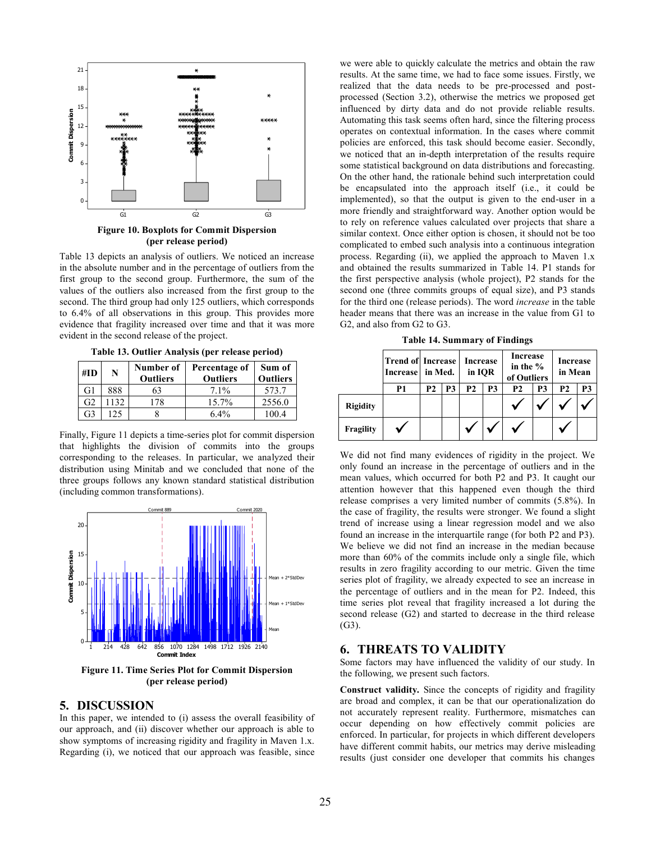

**(per release period)**

Table 13 depicts an analysis of outliers. We noticed an increase in the absolute number and in the percentage of outliers from the first group to the second group. Furthermore, the sum of the values of the outliers also increased from the first group to the second. The third group had only 125 outliers, which corresponds to 6.4% of all observations in this group. This provides more evidence that fragility increased over time and that it was more evident in the second release of the project.

**Table 13. Outlier Analysis (per release period)**

| $\#ID$ | N    | Number of<br><b>Outliers</b> | Percentage of<br><b>Outliers</b> | Sum of<br><b>Outliers</b> |  |
|--------|------|------------------------------|----------------------------------|---------------------------|--|
| G1     | 888  | 63                           | $7.1\%$                          | 573.7                     |  |
| G2     | 1132 | 178                          | 15.7%                            | 2556.0                    |  |
| G3     | 25   |                              | 6.4%                             | 100 4                     |  |

Finally, Figure 11 depicts a time-series plot for commit dispersion that highlights the division of commits into the groups corresponding to the releases. In particular, we analyzed their distribution using Minitab and we concluded that none of the three groups follows any known standard statistical distribution (including common transformations).



**Figure 11. Time Series Plot for Commit Dispersion (per release period)**

#### **5. DISCUSSION**

In this paper, we intended to (i) assess the overall feasibility of our approach, and (ii) discover whether our approach is able to show symptoms of increasing rigidity and fragility in Maven 1.x. Regarding (i), we noticed that our approach was feasible, since

we were able to quickly calculate the metrics and obtain the raw results. At the same time, we had to face some issues. Firstly, we realized that the data needs to be pre-processed and postprocessed (Section 3.2), otherwise the metrics we proposed get influenced by dirty data and do not provide reliable results. Automating this task seems often hard, since the filtering process operates on contextual information. In the cases where commit policies are enforced, this task should become easier. Secondly, we noticed that an in-depth interpretation of the results require some statistical background on data distributions and forecasting. On the other hand, the rationale behind such interpretation could be encapsulated into the approach itself (i.e., it could be implemented), so that the output is given to the end-user in a more friendly and straightforward way. Another option would be to rely on reference values calculated over projects that share a similar context. Once either option is chosen, it should not be too complicated to embed such analysis into a continuous integration process. Regarding (ii), we applied the approach to Maven 1.x and obtained the results summarized in Table 14. P1 stands for the first perspective analysis (whole project), P2 stands for the second one (three commits groups of equal size), and P3 stands for the third one (release periods). The word *increase* in the table header means that there was an increase in the value from G1 to G2, and also from G2 to G3.

**Table 14. Summary of Findings**

|                 | <b>Trend of Increase</b><br>in Med.<br><b>Increase</b> |    | Increase<br>in IQR |           | <b>Increase</b><br>in the %<br>of Outliers |           | Increase<br>in Mean |    |    |
|-----------------|--------------------------------------------------------|----|--------------------|-----------|--------------------------------------------|-----------|---------------------|----|----|
|                 | P1                                                     | P2 | P3                 | <b>P2</b> | P3                                         | <b>P2</b> | P3                  | P2 | P3 |
| <b>Rigidity</b> |                                                        |    |                    |           |                                            |           |                     |    |    |
| Fragility       |                                                        |    |                    |           |                                            |           |                     |    |    |

We did not find many evidences of rigidity in the project. We only found an increase in the percentage of outliers and in the mean values, which occurred for both P2 and P3. It caught our attention however that this happened even though the third release comprises a very limited number of commits (5.8%). In the case of fragility, the results were stronger. We found a slight trend of increase using a linear regression model and we also found an increase in the interquartile range (for both P2 and P3). We believe we did not find an increase in the median because more than 60% of the commits include only a single file, which results in zero fragility according to our metric. Given the time series plot of fragility, we already expected to see an increase in the percentage of outliers and in the mean for P2. Indeed, this time series plot reveal that fragility increased a lot during the second release (G2) and started to decrease in the third release (G3).

## **6. THREATS TO VALIDITY**

Some factors may have influenced the validity of our study. In the following, we present such factors.

**Construct validity.** Since the concepts of rigidity and fragility are broad and complex, it can be that our operationalization do not accurately represent reality. Furthermore, mismatches can occur depending on how effectively commit policies are enforced. In particular, for projects in which different developers have different commit habits, our metrics may derive misleading results (just consider one developer that commits his changes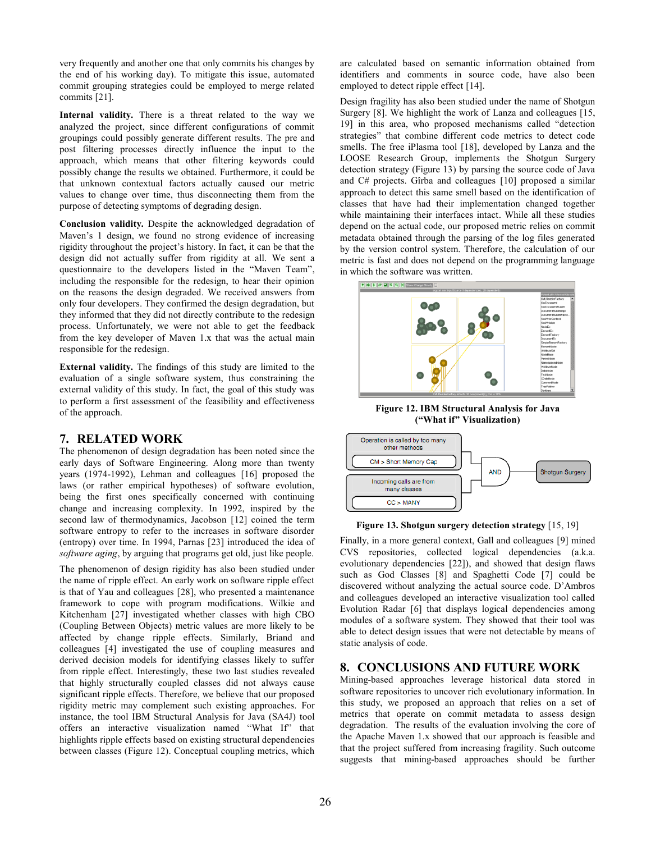very frequently and another one that only commits his changes by the end of his working day). To mitigate this issue, automated commit grouping strategies could be employed to merge related commits [21].

**Internal validity.** There is a threat related to the way we analyzed the project, since different configurations of commit groupings could possibly generate different results. The pre and post filtering processes directly influence the input to the approach, which means that other filtering keywords could possibly change the results we obtained. Furthermore, it could be that unknown contextual factors actually caused our metric values to change over time, thus disconnecting them from the purpose of detecting symptoms of degrading design.

**Conclusion validity.** Despite the acknowledged degradation of Maven's 1 design, we found no strong evidence of increasing rigidity throughout the project's history. In fact, it can be that the design did not actually suffer from rigidity at all. We sent a questionnaire to the developers listed in the "Maven Team", including the responsible for the redesign, to hear their opinion on the reasons the design degraded. We received answers from only four developers. They confirmed the design degradation, but they informed that they did not directly contribute to the redesign process. Unfortunately, we were not able to get the feedback from the key developer of Maven 1.x that was the actual main responsible for the redesign.

**External validity.** The findings of this study are limited to the evaluation of a single software system, thus constraining the external validity of this study. In fact, the goal of this study was to perform a first assessment of the feasibility and effectiveness of the approach.

# **7. RELATED WORK**

The phenomenon of design degradation has been noted since the early days of Software Engineering. Along more than twenty years (1974-1992), Lehman and colleagues [16] proposed the laws (or rather empirical hypotheses) of software evolution, being the first ones specifically concerned with continuing change and increasing complexity. In 1992, inspired by the second law of thermodynamics, Jacobson [12] coined the term software entropy to refer to the increases in software disorder (entropy) over time. In 1994, Parnas [23] introduced the idea of *software aging*, by arguing that programs get old, just like people.

The phenomenon of design rigidity has also been studied under the name of ripple effect. An early work on software ripple effect is that of Yau and colleagues [28], who presented a maintenance framework to cope with program modifications. Wilkie and Kitchenham [27] investigated whether classes with high CBO (Coupling Between Objects) metric values are more likely to be affected by change ripple effects. Similarly, Briand and colleagues [4] investigated the use of coupling measures and derived decision models for identifying classes likely to suffer from ripple effect. Interestingly, these two last studies revealed that highly structurally coupled classes did not always cause significant ripple effects. Therefore, we believe that our proposed rigidity metric may complement such existing approaches. For instance, the tool IBM Structural Analysis for Java (SA4J) tool offers an interactive visualization named "What If" that highlights ripple effects based on existing structural dependencies between classes (Figure 12). Conceptual coupling metrics, which are calculated based on semantic information obtained from identifiers and comments in source code, have also been employed to detect ripple effect [14].

Design fragility has also been studied under the name of Shotgun Surgery [8]. We highlight the work of Lanza and colleagues [15, 19] in this area, who proposed mechanisms called "detection strategies" that combine different code metrics to detect code smells. The free iPlasma tool [18], developed by Lanza and the LOOSE Research Group, implements the Shotgun Surgery detection strategy (Figure 13) by parsing the source code of Java and C# projects. Gîrba and colleagues [10] proposed a similar approach to detect this same smell based on the identification of classes that have had their implementation changed together while maintaining their interfaces intact. While all these studies depend on the actual code, our proposed metric relies on commit metadata obtained through the parsing of the log files generated by the version control system. Therefore, the calculation of our metric is fast and does not depend on the programming language in which the software was written.



**Figure 12. IBM Structural Analysis for Java ("What if" Visualization)**





Finally, in a more general context, Gall and colleagues [9] mined CVS repositories, collected logical dependencies (a.k.a. evolutionary dependencies [22]), and showed that design flaws such as God Classes [8] and Spaghetti Code [7] could be discovered without analyzing the actual source code. D'Ambros and colleagues developed an interactive visualization tool called Evolution Radar [6] that displays logical dependencies among modules of a software system. They showed that their tool was able to detect design issues that were not detectable by means of static analysis of code.

# **8. CONCLUSIONS AND FUTURE WORK**

Mining-based approaches leverage historical data stored in software repositories to uncover rich evolutionary information. In this study, we proposed an approach that relies on a set of metrics that operate on commit metadata to assess design degradation. The results of the evaluation involving the core of the Apache Maven 1.x showed that our approach is feasible and that the project suffered from increasing fragility. Such outcome suggests that mining-based approaches should be further